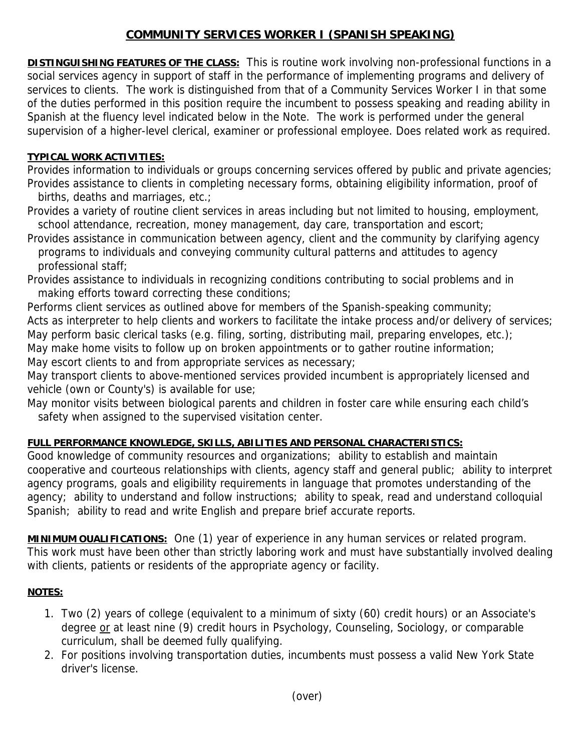# **COMMUNITY SERVICES WORKER I (SPANISH SPEAKING)**

**DISTINGUISHING FEATURES OF THE CLASS:** This is routine work involving non-professional functions in a social services agency in support of staff in the performance of implementing programs and delivery of services to clients. The work is distinguished from that of a Community Services Worker I in that some of the duties performed in this position require the incumbent to possess speaking and reading ability in Spanish at the fluency level indicated below in the Note. The work is performed under the general supervision of a higher-level clerical, examiner or professional employee. Does related work as required.

## **TYPICAL WORK ACTIVITIES:**

Provides information to individuals or groups concerning services offered by public and private agencies; Provides assistance to clients in completing necessary forms, obtaining eligibility information, proof of births, deaths and marriages, etc.;

Provides a variety of routine client services in areas including but not limited to housing, employment, school attendance, recreation, money management, day care, transportation and escort;

Provides assistance in communication between agency, client and the community by clarifying agency programs to individuals and conveying community cultural patterns and attitudes to agency professional staff;

Provides assistance to individuals in recognizing conditions contributing to social problems and in making efforts toward correcting these conditions;

Performs client services as outlined above for members of the Spanish-speaking community; Acts as interpreter to help clients and workers to facilitate the intake process and/or delivery of services; May perform basic clerical tasks (e.g. filing, sorting, distributing mail, preparing envelopes, etc.); May make home visits to follow up on broken appointments or to gather routine information;

May escort clients to and from appropriate services as necessary;

May transport clients to above-mentioned services provided incumbent is appropriately licensed and vehicle (own or County's) is available for use;

May monitor visits between biological parents and children in foster care while ensuring each child's safety when assigned to the supervised visitation center.

## **FULL PERFORMANCE KNOWLEDGE, SKILLS, ABILITIES AND PERSONAL CHARACTERISTICS:**

Good knowledge of community resources and organizations; ability to establish and maintain cooperative and courteous relationships with clients, agency staff and general public; ability to interpret agency programs, goals and eligibility requirements in language that promotes understanding of the agency; ability to understand and follow instructions; ability to speak, read and understand colloquial Spanish; ability to read and write English and prepare brief accurate reports.

**MINIMUM OUALIFICATIONS:** One (1) year of experience in any human services or related program. This work must have been other than strictly laboring work and must have substantially involved dealing with clients, patients or residents of the appropriate agency or facility.

#### **NOTES:**

- 1. Two (2) years of college (equivalent to a minimum of sixty (60) credit hours) or an Associate's degree or at least nine (9) credit hours in Psychology, Counseling, Sociology, or comparable curriculum, shall be deemed fully qualifying.
- 2. For positions involving transportation duties, incumbents must possess a valid New York State driver's license.